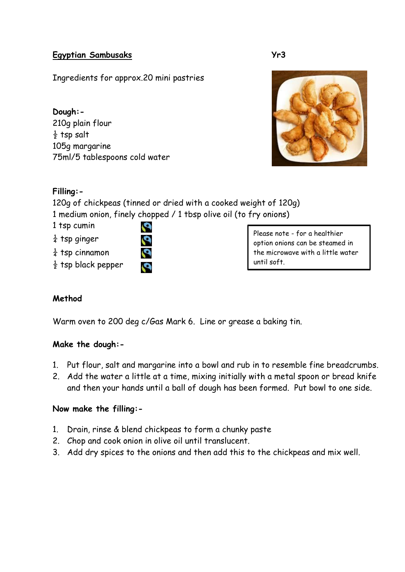#### **Egyptian Sambusaks Yr3**

Ingredients for approx.20 mini pastries

**Dough:-** 210g plain flour  $\frac{1}{2}$  tsp salt 105g margarine 75ml/5 tablespoons cold water



# **Filling:-**

120g of chickpeas (tinned or dried with a cooked weight of 120g) 1 medium onion, finely chopped / 1 tbsp olive oil (to fry onions)

S

1 tsp cumin

- $\frac{1}{4}$  tsp ginger
- $\frac{1}{4}$  tsp cinnamon
- $\frac{1}{2}$  tsp black pepper

Please note - for a healthier option onions can be steamed in the microwave with a little water until soft.

# **Method**

Warm oven to 200 deg c/Gas Mark 6. Line or grease a baking tin.

# **Make the dough:-**

- 1. Put flour, salt and margarine into a bowl and rub in to resemble fine breadcrumbs.
- 2. Add the water a little at a time, mixing initially with a metal spoon or bread knife and then your hands until a ball of dough has been formed. Put bowl to one side.

#### **Now make the filling:-**

- 1. Drain, rinse & blend chickpeas to form a chunky paste
- 2. Chop and cook onion in olive oil until translucent.
- 3. Add dry spices to the onions and then add this to the chickpeas and mix well.